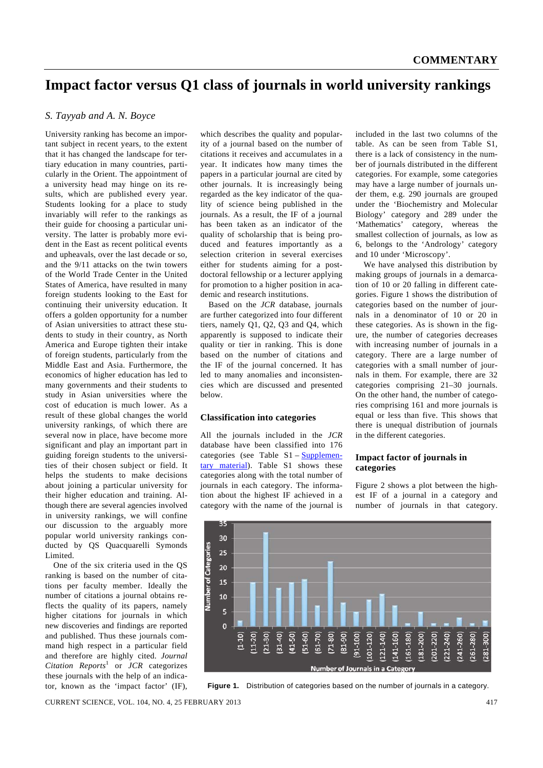# **Impact factor versus Q1 class of journals in world university rankings**

### *S. Tayyab and A. N. Boyce*

University ranking has become an important subject in recent years, to the extent that it has changed the landscape for tertiary education in many countries, particularly in the Orient. The appointment of a university head may hinge on its results, which are published every year. Students looking for a place to study invariably will refer to the rankings as their guide for choosing a particular university. The latter is probably more evident in the East as recent political events and upheavals, over the last decade or so, and the 9/11 attacks on the twin towers of the World Trade Center in the United States of America, have resulted in many foreign students looking to the East for continuing their university education. It offers a golden opportunity for a number of Asian universities to attract these students to study in their country, as North America and Europe tighten their intake of foreign students, particularly from the Middle East and Asia. Furthermore, the economics of higher education has led to many governments and their students to study in Asian universities where the cost of education is much lower. As a result of these global changes the world university rankings, of which there are several now in place, have become more significant and play an important part in guiding foreign students to the universities of their chosen subject or field. It helps the students to make decisions about joining a particular university for their higher education and training. Although there are several agencies involved in university rankings, we will confine our discussion to the arguably more popular world university rankings conducted by QS Quacquarelli Symonds Limited.

 One of the six criteria used in the QS ranking is based on the number of citations per faculty member. Ideally the number of citations a journal obtains reflects the quality of its papers, namely higher citations for journals in which new discoveries and findings are reported and published. Thus these journals command high respect in a particular field and therefore are highly cited. *Journal Citation Reports*<sup>1</sup> or *JCR* categorizes these journals with the help of an indicator, known as the 'impact factor' (IF),

which describes the quality and popularity of a journal based on the number of citations it receives and accumulates in a year. It indicates how many times the papers in a particular journal are cited by other journals. It is increasingly being regarded as the key indicator of the quality of science being published in the journals. As a result, the IF of a journal has been taken as an indicator of the quality of scholarship that is being produced and features importantly as a selection criterion in several exercises either for students aiming for a postdoctoral fellowship or a lecturer applying for promotion to a higher position in academic and research institutions.

 Based on the *JCR* database, journals are further categorized into four different tiers, namely Q1, Q2, Q3 and Q4, which apparently is supposed to indicate their quality or tier in ranking. This is done based on the number of citations and the IF of the journal concerned. It has led to many anomalies and inconsistencies which are discussed and presented below.

#### **Classification into categories**

All the journals included in the *JCR* database have been classified into 176 categories (see Table  $S1 - \text{Supplement}$ tary material). Table S1 shows these categories along with the total number of journals in each category. The information about the highest IF achieved in a category with the name of the journal is

included in the last two columns of the table. As can be seen from Table S1, there is a lack of consistency in the number of journals distributed in the different categories. For example, some categories may have a large number of journals under them, e.g. 290 journals are grouped under the 'Biochemistry and Molecular Biology' category and 289 under the 'Mathematics' category, whereas the smallest collection of journals, as low as 6, belongs to the 'Andrology' category and 10 under 'Microscopy'.

 We have analysed this distribution by making groups of journals in a demarcation of 10 or 20 falling in different categories. Figure 1 shows the distribution of categories based on the number of journals in a denominator of 10 or 20 in these categories. As is shown in the figure, the number of categories decreases with increasing number of journals in a category. There are a large number of categories with a small number of journals in them. For example, there are 32 categories comprising 21–30 journals. On the other hand, the number of categories comprising 161 and more journals is equal or less than five. This shows that there is unequal distribution of journals in the different categories.

#### **Impact factor of journals in categories**

Figure 2 shows a plot between the highest IF of a journal in a category and number of journals in that category.



**Figure 1.** Distribution of categories based on the number of journals in a category.

CURRENT SCIENCE, VOL. 104, NO. 4, 25 FEBRUARY 2013 417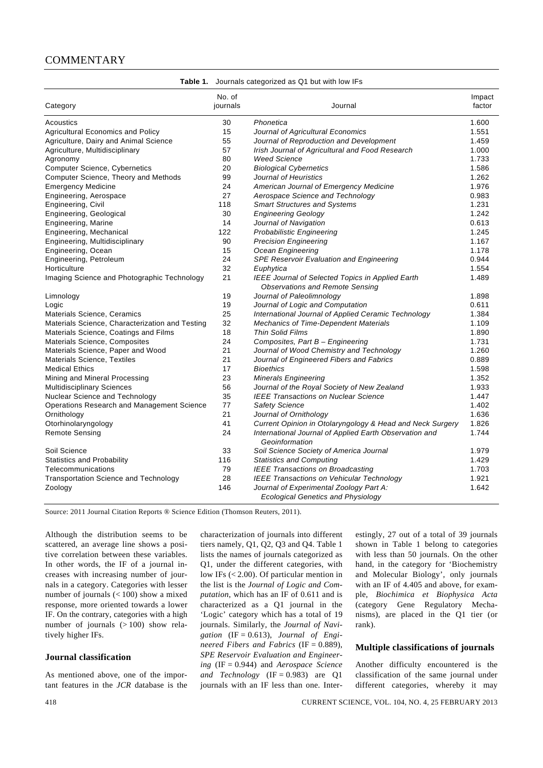## **COMMENTARY**

|                                                 | No. of   |                                                                                            | Impact |
|-------------------------------------------------|----------|--------------------------------------------------------------------------------------------|--------|
| Category                                        | journals | Journal                                                                                    | factor |
| Acoustics                                       | 30       | Phonetica                                                                                  | 1.600  |
| <b>Agricultural Economics and Policy</b>        | 15       | Journal of Agricultural Economics                                                          | 1.551  |
| Agriculture, Dairy and Animal Science           | 55       | Journal of Reproduction and Development                                                    | 1.459  |
| Agriculture, Multidisciplinary                  | 57       | Irish Journal of Agricultural and Food Research                                            | 1.000  |
| Agronomy                                        | 80       | <b>Weed Science</b>                                                                        | 1.733  |
| <b>Computer Science, Cybernetics</b>            | 20       | <b>Biological Cybernetics</b>                                                              | 1.586  |
| Computer Science, Theory and Methods            | 99       | Journal of Heuristics                                                                      | 1.262  |
| <b>Emergency Medicine</b>                       | 24       | American Journal of Emergency Medicine                                                     | 1.976  |
| Engineering, Aerospace                          | 27       | Aerospace Science and Technology                                                           | 0.983  |
| Engineering, Civil                              | 118      | <b>Smart Structures and Systems</b>                                                        | 1.231  |
| Engineering, Geological                         | 30       | <b>Engineering Geology</b>                                                                 | 1.242  |
| Engineering, Marine                             | 14       | Journal of Navigation                                                                      | 0.613  |
| Engineering, Mechanical                         | 122      | Probabilistic Engineering                                                                  | 1.245  |
| Engineering, Multidisciplinary                  | 90       | <b>Precision Engineering</b>                                                               | 1.167  |
| Engineering, Ocean                              | 15       | Ocean Engineering                                                                          | 1.178  |
| Engineering, Petroleum                          | 24       | <b>SPE Reservoir Evaluation and Engineering</b>                                            | 0.944  |
| Horticulture                                    | 32       | Euphytica                                                                                  | 1.554  |
| Imaging Science and Photographic Technology     | 21       | IEEE Journal of Selected Topics in Applied Earth<br><b>Observations and Remote Sensing</b> | 1.489  |
| Limnology                                       | 19       | Journal of Paleolimnology                                                                  | 1.898  |
| Logic                                           | 19       | Journal of Logic and Computation                                                           | 0.611  |
| Materials Science, Ceramics                     | 25       | International Journal of Applied Ceramic Technology                                        | 1.384  |
| Materials Science, Characterization and Testing | 32       | Mechanics of Time-Dependent Materials                                                      | 1.109  |
| Materials Science, Coatings and Films           | 18       | <b>Thin Solid Films</b>                                                                    | 1.890  |
| Materials Science, Composites                   | 24       | Composites, Part B - Engineering                                                           | 1.731  |
| Materials Science, Paper and Wood               | 21       | Journal of Wood Chemistry and Technology                                                   | 1.260  |
| Materials Science, Textiles                     | 21       | Journal of Engineered Fibers and Fabrics                                                   | 0.889  |
| <b>Medical Ethics</b>                           | 17       | <b>Bioethics</b>                                                                           | 1.598  |
| Mining and Mineral Processing                   | 23       | <b>Minerals Engineering</b>                                                                | 1.352  |
| <b>Multidisciplinary Sciences</b>               | 56       | Journal of the Royal Society of New Zealand                                                | 1.933  |
| Nuclear Science and Technology                  | 35       | <b>IEEE Transactions on Nuclear Science</b>                                                | 1.447  |
| Operations Research and Management Science      | 77       | <b>Safety Science</b>                                                                      | 1.402  |
| Ornithology                                     | 21       | Journal of Ornithology                                                                     | 1.636  |
| Otorhinolaryngology                             | 41       | Current Opinion in Otolaryngology & Head and Neck Surgery                                  | 1.826  |
| <b>Remote Sensing</b>                           | 24       | International Journal of Applied Earth Observation and<br>Geoinformation                   | 1.744  |
| Soil Science                                    | 33       | Soil Science Society of America Journal                                                    | 1.979  |
| <b>Statistics and Probability</b>               | 116      | <b>Statistics and Computing</b>                                                            | 1.429  |
| Telecommunications                              | 79       | <b>IEEE Transactions on Broadcasting</b>                                                   | 1.703  |
| <b>Transportation Science and Technology</b>    | 28       | IEEE Transactions on Vehicular Technology                                                  | 1.921  |
| Zoology                                         | 146      | Journal of Experimental Zoology Part A:<br><b>Ecological Genetics and Physiology</b>       | 1.642  |

**Table 1.** Journals categorized as Q1 but with low IFs

Source: 2011 Journal Citation Reports ® Science Edition (Thomson Reuters, 2011).

Although the distribution seems to be scattered, an average line shows a positive correlation between these variables. In other words, the IF of a journal increases with increasing number of journals in a category. Categories with lesser number of journals (< 100) show a mixed response, more oriented towards a lower IF. On the contrary, categories with a high number of journals  $(>100)$  show relatively higher IFs.

#### **Journal classification**

As mentioned above, one of the important features in the *JCR* database is the characterization of journals into different tiers namely, Q1, Q2, Q3 and Q4. Table 1 lists the names of journals categorized as Q1, under the different categories, with low IFs (< 2.00). Of particular mention in the list is the *Journal of Logic and Computation*, which has an IF of 0.611 and is characterized as a Q1 journal in the 'Logic' category which has a total of 19 journals. Similarly, the *Journal of Navigation* (IF = 0.613), *Journal of Engineered Fibers and Fabrics* (IF = 0.889), *SPE Reservoir Evaluation and Engineering* (IF = 0.944) and *Aerospace Science and Technology*  $(IF = 0.983)$  are Q1 journals with an IF less than one. Interestingly, 27 out of a total of 39 journals shown in Table 1 belong to categories with less than 50 journals. On the other hand, in the category for 'Biochemistry and Molecular Biology', only journals with an IF of 4.405 and above, for example, *Biochimica et Biophysica Acta* (category Gene Regulatory Mechanisms), are placed in the Q1 tier (or rank).

#### **Multiple classifications of journals**

Another difficulty encountered is the classification of the same journal under different categories, whereby it may

418 CURRENT SCIENCE, VOL. 104, NO. 4, 25 FEBRUARY 2013